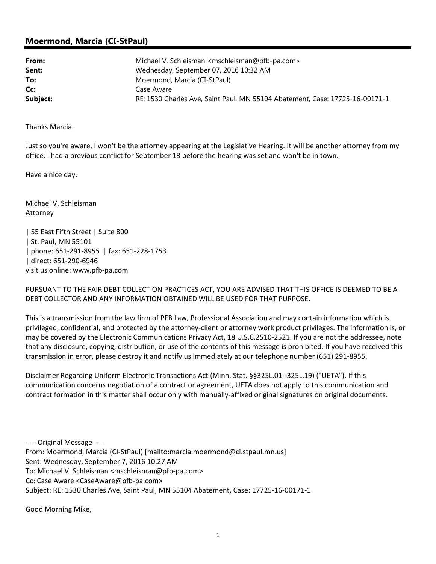## **Moermond, Marcia (CI-StPaul)**

| From:    | Michael V. Schleisman <mschleisman@pfb-pa.com></mschleisman@pfb-pa.com>      |
|----------|------------------------------------------------------------------------------|
| Sent:    | Wednesday, September 07, 2016 10:32 AM                                       |
| To:      | Moermond, Marcia (CI-StPaul)                                                 |
| Cc:      | Case Aware                                                                   |
| Subject: | RE: 1530 Charles Ave, Saint Paul, MN 55104 Abatement, Case: 17725-16-00171-1 |

Thanks Marcia.

Just so you're aware, I won't be the attorney appearing at the Legislative Hearing. It will be another attorney from my office. I had a previous conflict for September 13 before the hearing was set and won't be in town.

Have a nice day.

Michael V. Schleisman Attorney

| 55 East Fifth Street | Suite 800 | St. Paul, MN 55101 | phone: 651‐291‐8955 | fax: 651‐228‐1753 | direct: 651‐290‐6946 visit us online: www.pfb‐pa.com

PURSUANT TO THE FAIR DEBT COLLECTION PRACTICES ACT, YOU ARE ADVISED THAT THIS OFFICE IS DEEMED TO BE A DEBT COLLECTOR AND ANY INFORMATION OBTAINED WILL BE USED FOR THAT PURPOSE.

This is a transmission from the law firm of PFB Law, Professional Association and may contain information which is privileged, confidential, and protected by the attorney‐client or attorney work product privileges. The information is, or may be covered by the Electronic Communications Privacy Act, 18 U.S.C.2510-2521. If you are not the addressee, note that any disclosure, copying, distribution, or use of the contents of this message is prohibited. If you have received this transmission in error, please destroy it and notify us immediately at our telephone number (651) 291‐8955.

Disclaimer Regarding Uniform Electronic Transactions Act (Minn. Stat. §§325L.01‐‐325L.19) ("UETA"). If this communication concerns negotiation of a contract or agreement, UETA does not apply to this communication and contract formation in this matter shall occur only with manually-affixed original signatures on original documents.

‐‐‐‐‐Original Message‐‐‐‐‐ From: Moermond, Marcia (CI‐StPaul) [mailto:marcia.moermond@ci.stpaul.mn.us] Sent: Wednesday, September 7, 2016 10:27 AM To: Michael V. Schleisman <mschleisman@pfb‐pa.com> Cc: Case Aware <CaseAware@pfb‐pa.com> Subject: RE: 1530 Charles Ave, Saint Paul, MN 55104 Abatement, Case: 17725‐16‐00171‐1

Good Morning Mike,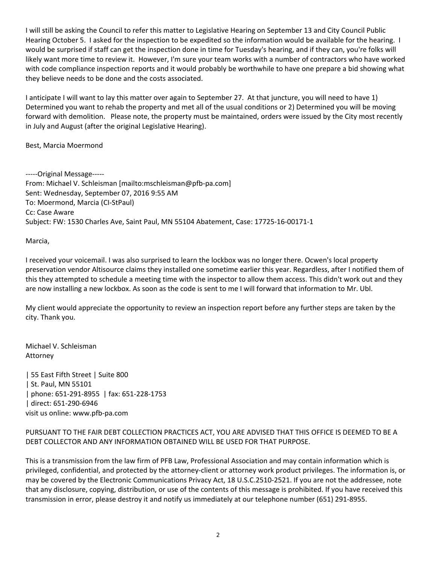I will still be asking the Council to refer this matter to Legislative Hearing on September 13 and City Council Public Hearing October 5. I asked for the inspection to be expedited so the information would be available for the hearing. I would be surprised if staff can get the inspection done in time for Tuesday's hearing, and if they can, you're folks will likely want more time to review it. However, I'm sure your team works with a number of contractors who have worked with code compliance inspection reports and it would probably be worthwhile to have one prepare a bid showing what they believe needs to be done and the costs associated.

I anticipate I will want to lay this matter over again to September 27. At that juncture, you will need to have 1) Determined you want to rehab the property and met all of the usual conditions or 2) Determined you will be moving forward with demolition. Please note, the property must be maintained, orders were issued by the City most recently in July and August (after the original Legislative Hearing).

Best, Marcia Moermond

‐‐‐‐‐Original Message‐‐‐‐‐ From: Michael V. Schleisman [mailto:mschleisman@pfb‐pa.com] Sent: Wednesday, September 07, 2016 9:55 AM To: Moermond, Marcia (CI‐StPaul) Cc: Case Aware Subject: FW: 1530 Charles Ave, Saint Paul, MN 55104 Abatement, Case: 17725‐16‐00171‐1

Marcia,

I received your voicemail. I was also surprised to learn the lockbox was no longer there. Ocwen's local property preservation vendor Altisource claims they installed one sometime earlier this year. Regardless, after I notified them of this they attempted to schedule a meeting time with the inspector to allow them access. This didn't work out and they are now installing a new lockbox. As soon as the code is sent to me I will forward that information to Mr. Ubl.

My client would appreciate the opportunity to review an inspection report before any further steps are taken by the city. Thank you.

Michael V. Schleisman Attorney

| 55 East Fifth Street | Suite 800 | St. Paul, MN 55101 | phone: 651‐291‐8955 | fax: 651‐228‐1753 | direct: 651‐290‐6946 visit us online: www.pfb‐pa.com

## PURSUANT TO THE FAIR DEBT COLLECTION PRACTICES ACT, YOU ARE ADVISED THAT THIS OFFICE IS DEEMED TO BE A DEBT COLLECTOR AND ANY INFORMATION OBTAINED WILL BE USED FOR THAT PURPOSE.

This is a transmission from the law firm of PFB Law, Professional Association and may contain information which is privileged, confidential, and protected by the attorney‐client or attorney work product privileges. The information is, or may be covered by the Electronic Communications Privacy Act, 18 U.S.C.2510‐2521. If you are not the addressee, note that any disclosure, copying, distribution, or use of the contents of this message is prohibited. If you have received this transmission in error, please destroy it and notify us immediately at our telephone number (651) 291‐8955.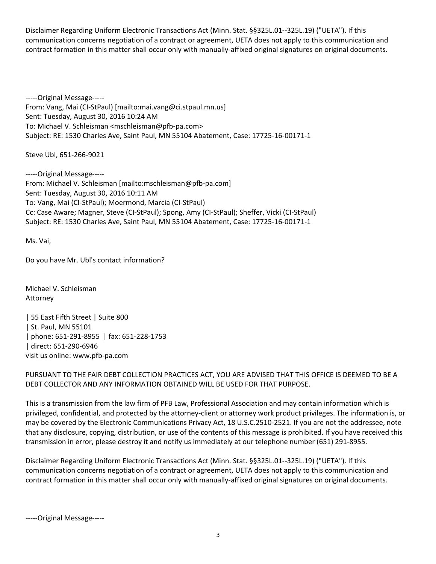Disclaimer Regarding Uniform Electronic Transactions Act (Minn. Stat. §§325L.01‐‐325L.19) ("UETA"). If this communication concerns negotiation of a contract or agreement, UETA does not apply to this communication and contract formation in this matter shall occur only with manually-affixed original signatures on original documents.

‐‐‐‐‐Original Message‐‐‐‐‐ From: Vang, Mai (CI‐StPaul) [mailto:mai.vang@ci.stpaul.mn.us] Sent: Tuesday, August 30, 2016 10:24 AM To: Michael V. Schleisman <mschleisman@pfb‐pa.com> Subject: RE: 1530 Charles Ave, Saint Paul, MN 55104 Abatement, Case: 17725‐16‐00171‐1

Steve Ubl, 651‐266‐9021

‐‐‐‐‐Original Message‐‐‐‐‐ From: Michael V. Schleisman [mailto:mschleisman@pfb‐pa.com] Sent: Tuesday, August 30, 2016 10:11 AM To: Vang, Mai (CI‐StPaul); Moermond, Marcia (CI‐StPaul) Cc: Case Aware; Magner, Steve (CI‐StPaul); Spong, Amy (CI‐StPaul); Sheffer, Vicki (CI‐StPaul) Subject: RE: 1530 Charles Ave, Saint Paul, MN 55104 Abatement, Case: 17725‐16‐00171‐1

Ms. Vai,

Do you have Mr. Ubl's contact information?

Michael V. Schleisman Attorney

| 55 East Fifth Street | Suite 800 | St. Paul, MN 55101 | phone: 651‐291‐8955 | fax: 651‐228‐1753 | direct: 651‐290‐6946 visit us online: www.pfb‐pa.com

PURSUANT TO THE FAIR DEBT COLLECTION PRACTICES ACT, YOU ARE ADVISED THAT THIS OFFICE IS DEEMED TO BE A DEBT COLLECTOR AND ANY INFORMATION OBTAINED WILL BE USED FOR THAT PURPOSE.

This is a transmission from the law firm of PFB Law, Professional Association and may contain information which is privileged, confidential, and protected by the attorney‐client or attorney work product privileges. The information is, or may be covered by the Electronic Communications Privacy Act, 18 U.S.C.2510‐2521. If you are not the addressee, note that any disclosure, copying, distribution, or use of the contents of this message is prohibited. If you have received this transmission in error, please destroy it and notify us immediately at our telephone number (651) 291‐8955.

Disclaimer Regarding Uniform Electronic Transactions Act (Minn. Stat. §§325L.01‐‐325L.19) ("UETA"). If this communication concerns negotiation of a contract or agreement, UETA does not apply to this communication and contract formation in this matter shall occur only with manually-affixed original signatures on original documents.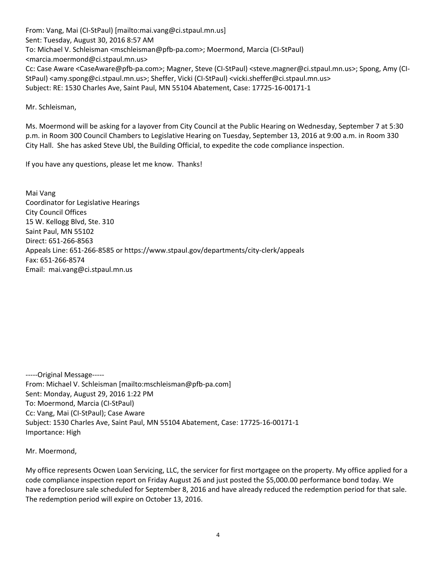From: Vang, Mai (CI‐StPaul) [mailto:mai.vang@ci.stpaul.mn.us] Sent: Tuesday, August 30, 2016 8:57 AM To: Michael V. Schleisman <mschleisman@pfb‐pa.com>; Moermond, Marcia (CI‐StPaul) <marcia.moermond@ci.stpaul.mn.us> Cc: Case Aware <CaseAware@pfb‐pa.com>; Magner, Steve (CI‐StPaul) <steve.magner@ci.stpaul.mn.us>; Spong, Amy (CI‐ StPaul) <amy.spong@ci.stpaul.mn.us>; Sheffer, Vicki (CI‐StPaul) <vicki.sheffer@ci.stpaul.mn.us> Subject: RE: 1530 Charles Ave, Saint Paul, MN 55104 Abatement, Case: 17725‐16‐00171‐1

Mr. Schleisman,

Ms. Moermond will be asking for a layover from City Council at the Public Hearing on Wednesday, September 7 at 5:30 p.m. in Room 300 Council Chambers to Legislative Hearing on Tuesday, September 13, 2016 at 9:00 a.m. in Room 330 City Hall. She has asked Steve Ubl, the Building Official, to expedite the code compliance inspection.

If you have any questions, please let me know. Thanks!

Mai Vang Coordinator for Legislative Hearings City Council Offices 15 W. Kellogg Blvd, Ste. 310 Saint Paul, MN 55102 Direct: 651‐266‐8563 Appeals Line: 651‐266‐8585 or https://www.stpaul.gov/departments/city‐clerk/appeals Fax: 651‐266‐8574 Email: mai.vang@ci.stpaul.mn.us

‐‐‐‐‐Original Message‐‐‐‐‐ From: Michael V. Schleisman [mailto:mschleisman@pfb‐pa.com] Sent: Monday, August 29, 2016 1:22 PM To: Moermond, Marcia (CI‐StPaul) Cc: Vang, Mai (CI‐StPaul); Case Aware Subject: 1530 Charles Ave, Saint Paul, MN 55104 Abatement, Case: 17725‐16‐00171‐1 Importance: High

Mr. Moermond,

My office represents Ocwen Loan Servicing, LLC, the servicer for first mortgagee on the property. My office applied for a code compliance inspection report on Friday August 26 and just posted the \$5,000.00 performance bond today. We have a foreclosure sale scheduled for September 8, 2016 and have already reduced the redemption period for that sale. The redemption period will expire on October 13, 2016.